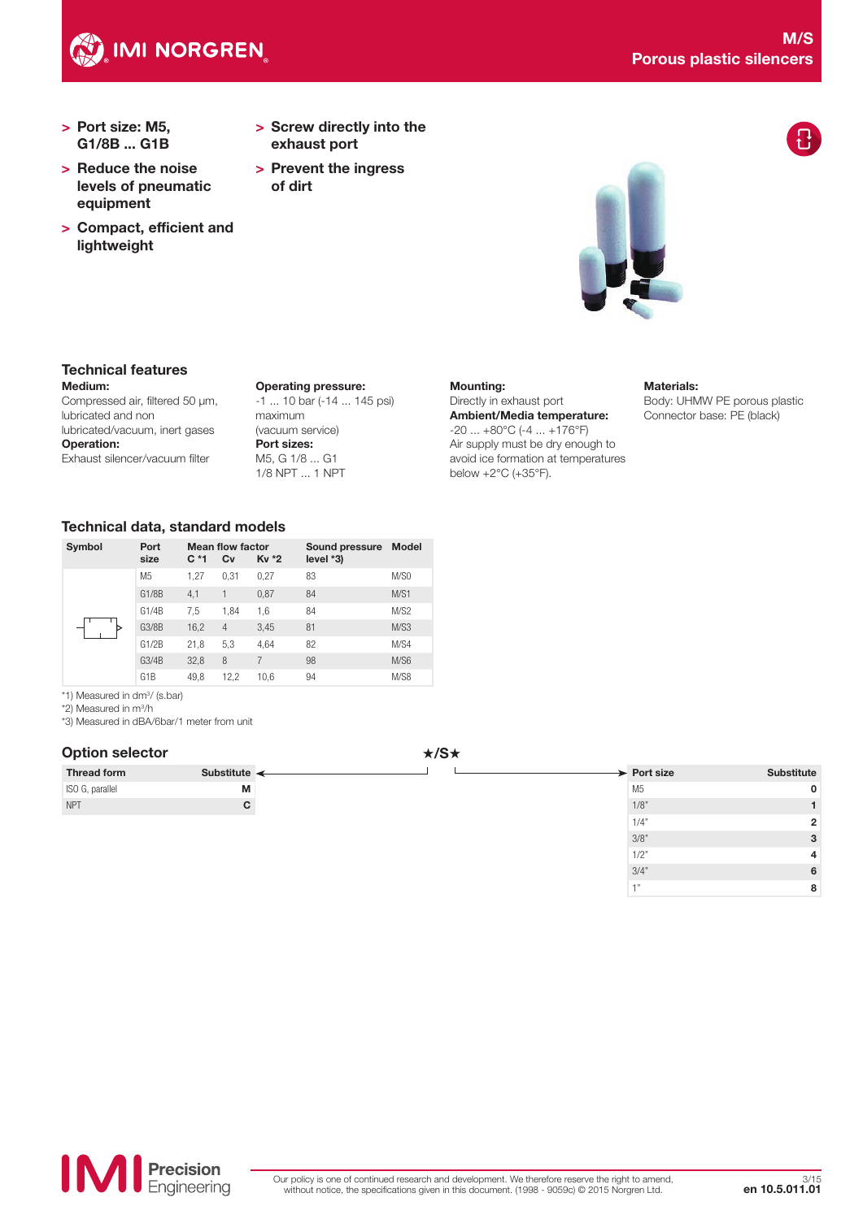

- > Port size: M5, G1/8B ... G1B
- > Reduce the noise levels of pneumatic equipment
- > Compact, efficient and lightweight
- > Screw directly into the exhaust port
- > Prevent the ingress of dirt



#### Medium: Technical features

Compressed air, filtered 50 µm, lubricated and non lubricated/vacuum, inert gases Operation: Exhaust silencer/vacuum filter

Operating pressure: -1 ... 10 bar (-14 ... 145 psi) maximum (vacuum service) Port sizes: M5, G 1/8 ... G1 1/8 NPT ... 1 NPT

#### Mounting:

#### Directly in exhaust port Ambient/Media temperature:  $-20$  ...  $+80^{\circ}$ C ( $-4$  ...  $+176^{\circ}$ F)

Air supply must be dry enough to avoid ice formation at temperatures below +2°C (+35°F).

### Materials:

Body: UHMW PE porous plastic Connector base: PE (black)

 $1/2"$  4  $3/4"$  6  $1"$  8

### Technical data, standard models

| Symbol | Port<br>size     | $C^*1$ | <b>Mean flow factor</b><br>Cv | Kv *2 | Sound pressure<br>$level *3)$ | <b>Model</b> |
|--------|------------------|--------|-------------------------------|-------|-------------------------------|--------------|
|        | M <sub>5</sub>   | 1.27   | 0.31                          | 0,27  | 83                            | M/SO         |
|        | G1/8B            | 4,1    |                               | 0,87  | 84                            | M/S1         |
|        | G1/4B            | 7,5    | 1,84                          | 1,6   | 84                            | M/S2         |
|        | G3/8B            | 16,2   | $\overline{4}$                | 3,45  | 81                            | M/S3         |
|        | G1/2B            | 21,8   | 5,3                           | 4.64  | 82                            | M/S4         |
|        | G3/4B            | 32,8   | 8                             | 7     | 98                            | M/S6         |
|        | G <sub>1</sub> B | 49,8   | 12,2                          | 10,6  | 94                            | M/S8         |

\*1) Measured in dm<sup>3</sup>/ (s.bar)

\*2) Measured in m3 /h

\*3) Measured in dBA/6bar/1 meter from unit

### Option selector **\*/S**\*

|                    |                            | $\cdots$ |                         |
|--------------------|----------------------------|----------|-------------------------|
| <b>Thread form</b> | Substitute $\triangleleft$ |          | $\rightarrow$ Port size |
| ISO G, parallel    | М                          |          | M <sub>5</sub>          |
|                    | C.                         |          | 1/8"                    |
|                    |                            |          | 1/4"                    |
|                    |                            |          | 3/8"                    |

**Precision**<br>Engineering